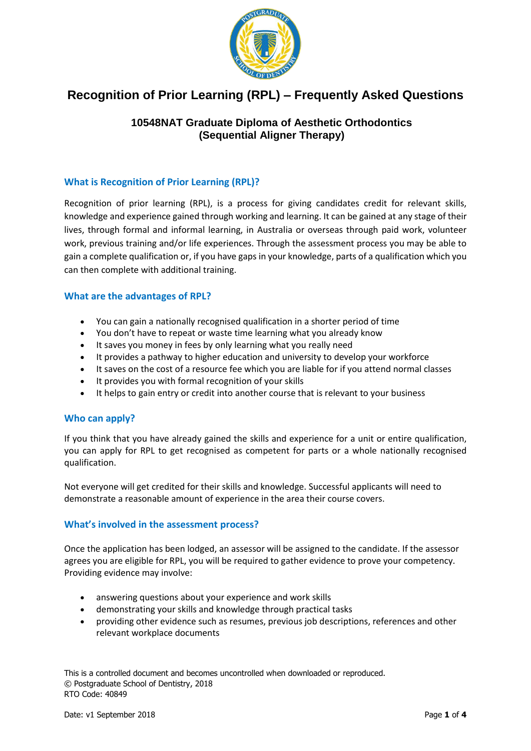

# **Recognition of Prior Learning (RPL) – Frequently Asked Questions**

# **10548NAT Graduate Diploma of Aesthetic Orthodontics (Sequential Aligner Therapy)**

# **What is Recognition of Prior Learning (RPL)?**

Recognition of prior learning (RPL), is a process for giving candidates credit for relevant skills, knowledge and experience gained through working and learning. It can be gained at any stage of their lives, through formal and informal learning, in Australia or overseas through paid work, volunteer work, previous training and/or life experiences. Through the assessment process you may be able to gain a complete qualification or, if you have gaps in your knowledge, parts of a qualification which you can then complete with additional training.

#### **What are the advantages of RPL?**

- You can gain a nationally recognised qualification in a shorter period of time
- You don't have to repeat or waste time learning what you already know
- It saves you money in fees by only learning what you really need
- It provides a pathway to higher education and university to develop your workforce
- It saves on the cost of a resource fee which you are liable for if you attend normal classes
- It provides you with formal recognition of your skills
- It helps to gain entry or credit into another course that is relevant to your business

# **Who can apply?**

If you think that you have already gained the skills and experience for a unit or entire qualification, you can apply for RPL to get recognised as competent for parts or a whole nationally recognised qualification.

Not everyone will get credited for their skills and knowledge. Successful applicants will need to demonstrate a reasonable amount of experience in the area their course covers.

# **What's involved in the assessment process?**

Once the application has been lodged, an assessor will be assigned to the candidate. If the assessor agrees you are eligible for RPL, you will be required to gather evidence to prove your competency. Providing evidence may involve:

- answering questions about your experience and work skills
- demonstrating your skills and knowledge through practical tasks
- providing other evidence such as resumes, previous job descriptions, references and other relevant workplace documents

This is a controlled document and becomes uncontrolled when downloaded or reproduced. © Postgraduate School of Dentistry, 2018 RTO Code: 40849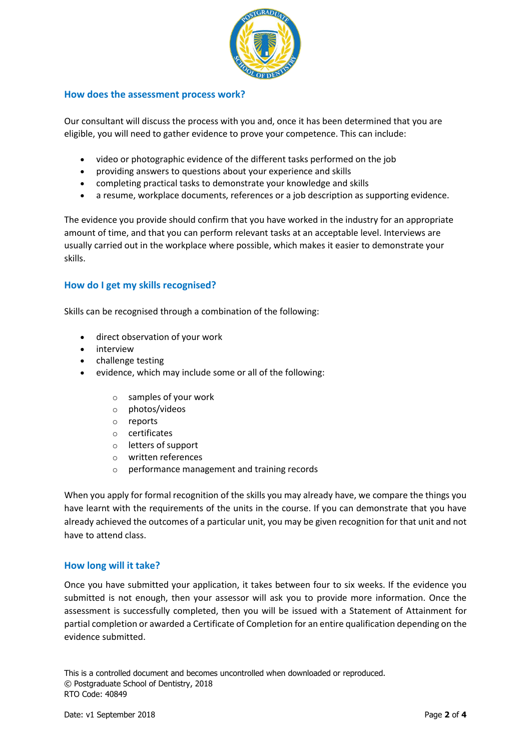

#### **How does the assessment process work?**

Our consultant will discuss the process with you and, once it has been determined that you are eligible, you will need to gather evidence to prove your competence. This can include:

- video or photographic evidence of the different tasks performed on the job
- providing answers to questions about your experience and skills
- completing practical tasks to demonstrate your knowledge and skills
- a resume, workplace documents, references or a job description as supporting evidence.

The evidence you provide should confirm that you have worked in the industry for an appropriate amount of time, and that you can perform relevant tasks at an acceptable level. Interviews are usually carried out in the workplace where possible, which makes it easier to demonstrate your skills.

# **How do I get my skills recognised?**

Skills can be recognised through a combination of the following:

- direct observation of your work
- interview
- challenge testing
- evidence, which may include some or all of the following:
	- o samples of your work
	- o photos/videos
	- o reports
	- o certificates
	- o letters of support
	- o written references
	- o performance management and training records

When you apply for formal recognition of the skills you may already have, we compare the things you have learnt with the requirements of the units in the course. If you can demonstrate that you have already achieved the outcomes of a particular unit, you may be given recognition for that unit and not have to attend class.

# **How long will it take?**

Once you have submitted your application, it takes between four to six weeks. If the evidence you submitted is not enough, then your assessor will ask you to provide more information. Once the assessment is successfully completed, then you will be issued with a Statement of Attainment for partial completion or awarded a Certificate of Completion for an entire qualification depending on the evidence submitted.

This is a controlled document and becomes uncontrolled when downloaded or reproduced. © Postgraduate School of Dentistry, 2018 RTO Code: 40849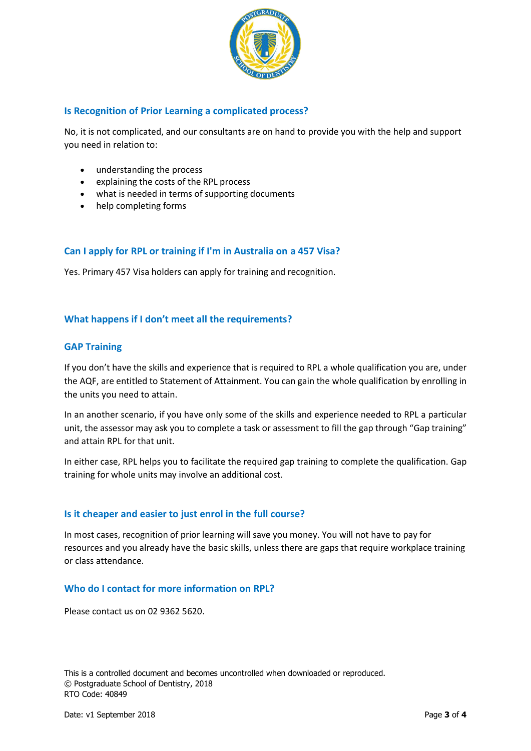

#### **Is Recognition of Prior Learning a complicated process?**

No, it is not complicated, and our consultants are on hand to provide you with the help and support you need in relation to:

- understanding the process
- explaining the costs of the RPL process
- what is needed in terms of supporting documents
- help completing forms

#### **Can I apply for RPL or training if I'm in Australia on a 457 Visa?**

Yes. Primary 457 Visa holders can apply for training and recognition.

#### **What happens if I don't meet all the requirements?**

#### **GAP Training**

If you don't have the skills and experience that is required to RPL a whole qualification you are, under the AQF, are entitled to Statement of Attainment. You can gain the whole qualification by enrolling in the units you need to attain.

In an another scenario, if you have only some of the skills and experience needed to RPL a particular unit, the assessor may ask you to complete a task or assessment to fill the gap through "Gap training" and attain RPL for that unit.

In either case, RPL helps you to facilitate the required gap training to complete the qualification. Gap training for whole units may involve an additional cost.

#### **Is it cheaper and easier to just enrol in the full course?**

In most cases, recognition of prior learning will save you money. You will not have to pay for resources and you already have the basic skills, unless there are gaps that require workplace training or class attendance.

#### **Who do I contact for more information on RPL?**

Please contact us on 02 9362 5620.

This is a controlled document and becomes uncontrolled when downloaded or reproduced. © Postgraduate School of Dentistry, 2018 RTO Code: 40849